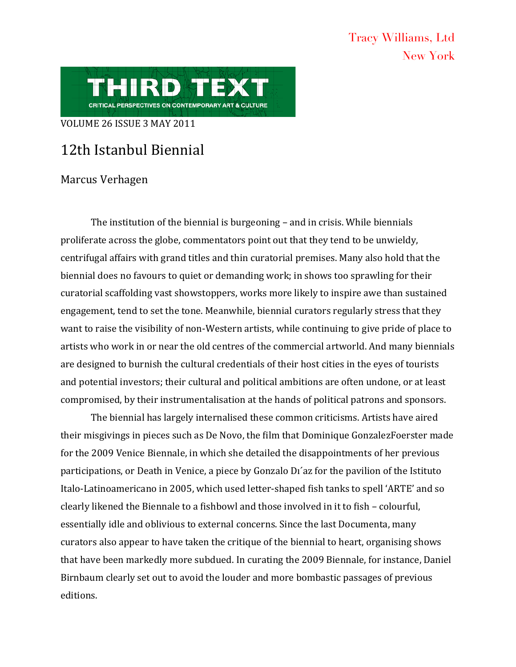

VOLUME 26 ISSUE 3 MAY 2011

# 12th Istanbul Biennial

#### Marcus Verhagen

The institution of the biennial is burgeoning - and in crisis. While biennials proliferate across the globe, commentators point out that they tend to be unwieldy, centrifugal affairs with grand titles and thin curatorial premises. Many also hold that the biennial does no favours to quiet or demanding work; in shows too sprawling for their curatorial scaffolding vast showstoppers, works more likely to inspire awe than sustained engagement, tend to set the tone. Meanwhile, biennial curators regularly stress that they want to raise the visibility of non-Western artists, while continuing to give pride of place to artists who work in or near the old centres of the commercial artworld. And many biennials are designed to burnish the cultural credentials of their host cities in the eyes of tourists and potential investors; their cultural and political ambitions are often undone, or at least compromised, by their instrumentalisation at the hands of political patrons and sponsors.

The biennial has largely internalised these common criticisms. Artists have aired their misgivings in pieces such as De Novo, the film that Dominique GonzalezFoerster made for the 2009 Venice Biennale, in which she detailed the disappointments of her previous participations, or Death in Venice, a piece by Gonzalo Di'az for the pavilion of the Istituto Italo-Latinoamericano in 2005, which used letter-shaped fish tanks to spell 'ARTE' and so clearly likened the Biennale to a fishbowl and those involved in it to fish – colourful, essentially idle and oblivious to external concerns. Since the last Documenta, many curators also appear to have taken the critique of the biennial to heart, organising shows that have been markedly more subdued. In curating the 2009 Biennale, for instance, Daniel Birnbaum clearly set out to avoid the louder and more bombastic passages of previous editions.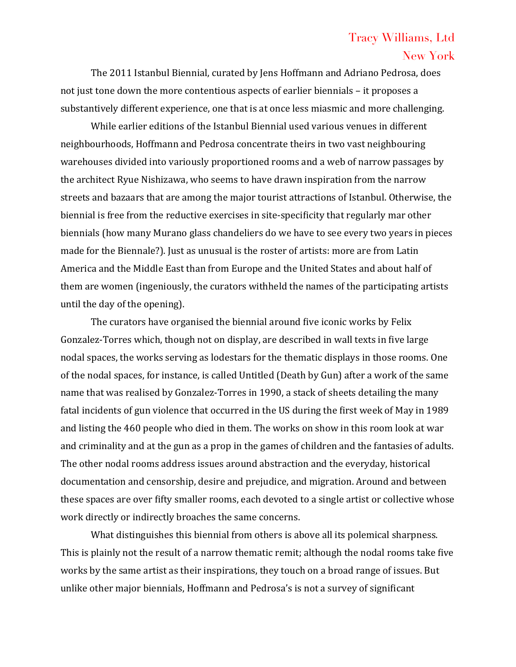The 2011 Istanbul Biennial, curated by Jens Hoffmann and Adriano Pedrosa, does not just tone down the more contentious aspects of earlier biennials – it proposes a substantively different experience, one that is at once less miasmic and more challenging.

While earlier editions of the Istanbul Biennial used various venues in different neighbourhoods, Hoffmann and Pedrosa concentrate theirs in two vast neighbouring warehouses divided into variously proportioned rooms and a web of narrow passages by the architect Ryue Nishizawa, who seems to have drawn inspiration from the narrow streets and bazaars that are among the major tourist attractions of Istanbul. Otherwise, the biennial is free from the reductive exercises in site-specificity that regularly mar other biennials (how many Murano glass chandeliers do we have to see every two years in pieces made for the Biennale?). Just as unusual is the roster of artists: more are from Latin America and the Middle East than from Europe and the United States and about half of them are women (ingeniously, the curators withheld the names of the participating artists until the day of the opening).

The curators have organised the biennial around five iconic works by Felix Gonzalez-Torres which, though not on display, are described in wall texts in five large nodal spaces, the works serving as lodestars for the thematic displays in those rooms. One of the nodal spaces, for instance, is called Untitled (Death by Gun) after a work of the same name that was realised by Gonzalez-Torres in 1990, a stack of sheets detailing the many fatal incidents of gun violence that occurred in the US during the first week of May in 1989 and listing the 460 people who died in them. The works on show in this room look at war and criminality and at the gun as a prop in the games of children and the fantasies of adults. The other nodal rooms address issues around abstraction and the everyday, historical documentation and censorship, desire and prejudice, and migration. Around and between these spaces are over fifty smaller rooms, each devoted to a single artist or collective whose work directly or indirectly broaches the same concerns.

What distinguishes this biennial from others is above all its polemical sharpness. This is plainly not the result of a narrow thematic remit; although the nodal rooms take five works by the same artist as their inspirations, they touch on a broad range of issues. But unlike other major biennials, Hoffmann and Pedrosa's is not a survey of significant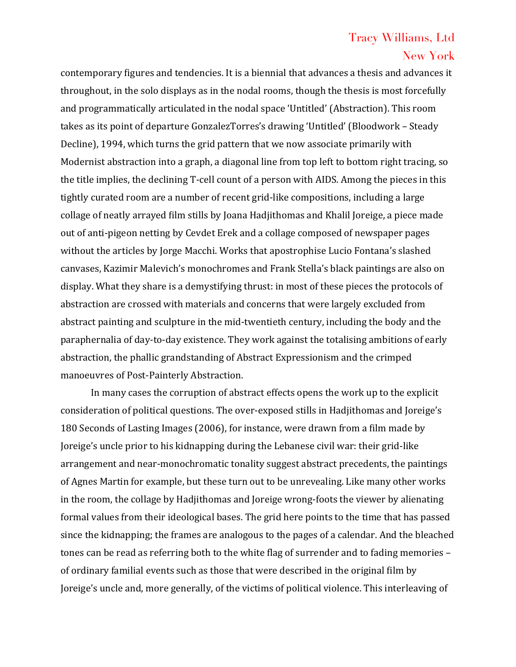contemporary figures and tendencies. It is a biennial that advances a thesis and advances it throughout, in the solo displays as in the nodal rooms, though the thesis is most forcefully and programmatically articulated in the nodal space 'Untitled' (Abstraction). This room takes as its point of departure GonzalezTorres's drawing 'Untitled' (Bloodwork – Steady Decline), 1994, which turns the grid pattern that we now associate primarily with Modernist abstraction into a graph, a diagonal line from top left to bottom right tracing, so the title implies, the declining T-cell count of a person with AIDS. Among the pieces in this tightly curated room are a number of recent grid-like compositions, including a large collage of neatly arrayed film stills by Joana Hadjithomas and Khalil Joreige, a piece made out of anti-pigeon netting by Cevdet Erek and a collage composed of newspaper pages without the articles by Jorge Macchi. Works that apostrophise Lucio Fontana's slashed canvases, Kazimir Malevich's monochromes and Frank Stella's black paintings are also on display. What they share is a demystifying thrust: in most of these pieces the protocols of abstraction are crossed with materials and concerns that were largely excluded from abstract painting and sculpture in the mid-twentieth century, including the body and the paraphernalia of day-to-day existence. They work against the totalising ambitions of early abstraction, the phallic grandstanding of Abstract Expressionism and the crimped manoeuvres of Post-Painterly Abstraction.

In many cases the corruption of abstract effects opens the work up to the explicit consideration of political questions. The over-exposed stills in Hadjithomas and Joreige's 180 Seconds of Lasting Images (2006), for instance, were drawn from a film made by Joreige's uncle prior to his kidnapping during the Lebanese civil war: their grid-like arrangement and near-monochromatic tonality suggest abstract precedents, the paintings of Agnes Martin for example, but these turn out to be unrevealing. Like many other works in the room, the collage by Hadjithomas and Joreige wrong-foots the viewer by alienating formal values from their ideological bases. The grid here points to the time that has passed since the kidnapping; the frames are analogous to the pages of a calendar. And the bleached tones can be read as referring both to the white flag of surrender and to fading memories of ordinary familial events such as those that were described in the original film by Joreige's uncle and, more generally, of the victims of political violence. This interleaving of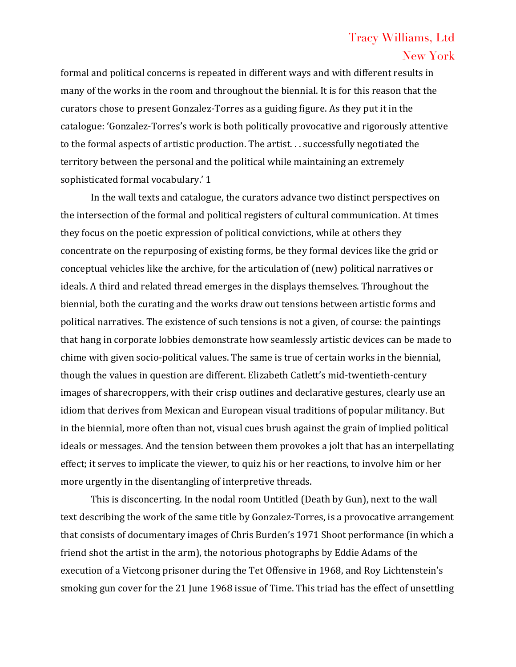formal and political concerns is repeated in different ways and with different results in many of the works in the room and throughout the biennial. It is for this reason that the curators chose to present Gonzalez-Torres as a guiding figure. As they put it in the catalogue: 'Gonzalez-Torres's work is both politically provocative and rigorously attentive to the formal aspects of artistic production. The artist. . . successfully negotiated the territory between the personal and the political while maintaining an extremely sophisticated formal vocabulary.' 1

In the wall texts and catalogue, the curators advance two distinct perspectives on the intersection of the formal and political registers of cultural communication. At times they focus on the poetic expression of political convictions, while at others they concentrate on the repurposing of existing forms, be they formal devices like the grid or conceptual vehicles like the archive, for the articulation of (new) political narratives or ideals. A third and related thread emerges in the displays themselves. Throughout the biennial, both the curating and the works draw out tensions between artistic forms and political narratives. The existence of such tensions is not a given, of course: the paintings that hang in corporate lobbies demonstrate how seamlessly artistic devices can be made to chime with given socio-political values. The same is true of certain works in the biennial, though the values in question are different. Elizabeth Catlett's mid-twentieth-century images of sharecroppers, with their crisp outlines and declarative gestures, clearly use an idiom that derives from Mexican and European visual traditions of popular militancy. But in the biennial, more often than not, visual cues brush against the grain of implied political ideals or messages. And the tension between them provokes a jolt that has an interpellating effect; it serves to implicate the viewer, to quiz his or her reactions, to involve him or her more urgently in the disentangling of interpretive threads.

This is disconcerting. In the nodal room Untitled (Death by Gun), next to the wall text describing the work of the same title by Gonzalez-Torres, is a provocative arrangement that consists of documentary images of Chris Burden's 1971 Shoot performance (in which a friend shot the artist in the arm), the notorious photographs by Eddie Adams of the execution of a Vietcong prisoner during the Tet Offensive in 1968, and Roy Lichtenstein's smoking gun cover for the 21 June 1968 issue of Time. This triad has the effect of unsettling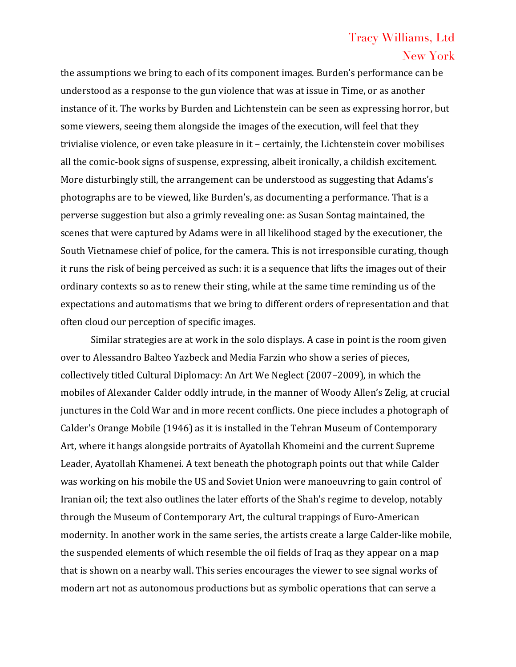the assumptions we bring to each of its component images. Burden's performance can be understood as a response to the gun violence that was at issue in Time, or as another instance of it. The works by Burden and Lichtenstein can be seen as expressing horror, but some viewers, seeing them alongside the images of the execution, will feel that they trivialise violence, or even take pleasure in  $it$  – certainly, the Lichtenstein cover mobilises all the comic-book signs of suspense, expressing, albeit ironically, a childish excitement. More disturbingly still, the arrangement can be understood as suggesting that Adams's photographs are to be viewed, like Burden's, as documenting a performance. That is a perverse suggestion but also a grimly revealing one: as Susan Sontag maintained, the scenes that were captured by Adams were in all likelihood staged by the executioner, the South Vietnamese chief of police, for the camera. This is not irresponsible curating, though it runs the risk of being perceived as such: it is a sequence that lifts the images out of their ordinary contexts so as to renew their sting, while at the same time reminding us of the expectations and automatisms that we bring to different orders of representation and that often cloud our perception of specific images.

Similar strategies are at work in the solo displays. A case in point is the room given over to Alessandro Balteo Yazbeck and Media Farzin who show a series of pieces, collectively titled Cultural Diplomacy: An Art We Neglect (2007–2009), in which the mobiles of Alexander Calder oddly intrude, in the manner of Woody Allen's Zelig, at crucial junctures in the Cold War and in more recent conflicts. One piece includes a photograph of Calder's Orange Mobile (1946) as it is installed in the Tehran Museum of Contemporary Art, where it hangs alongside portraits of Ayatollah Khomeini and the current Supreme Leader, Ayatollah Khamenei. A text beneath the photograph points out that while Calder was working on his mobile the US and Soviet Union were manoeuvring to gain control of Iranian oil; the text also outlines the later efforts of the Shah's regime to develop, notably through the Museum of Contemporary Art, the cultural trappings of Euro-American modernity. In another work in the same series, the artists create a large Calder-like mobile, the suspended elements of which resemble the oil fields of Iraq as they appear on a map that is shown on a nearby wall. This series encourages the viewer to see signal works of modern art not as autonomous productions but as symbolic operations that can serve a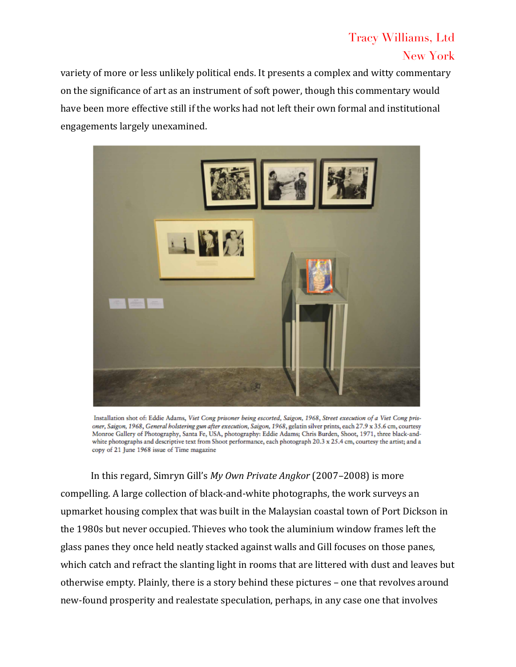variety of more or less unlikely political ends. It presents a complex and witty commentary on the significance of art as an instrument of soft power, though this commentary would have been more effective still if the works had not left their own formal and institutional engagements largely unexamined.



Installation shot of: Eddie Adams, Viet Cong prisoner being escorted, Saigon, 1968, Street execution of a Viet Cong prisoner, Saigon, 1968, General holstering gun after execution, Saigon, 1968, gelatin silver prints, each 27.9 x 35.6 cm, courtesy Monroe Gallery of Photography, Santa Fe, USA, photography: Eddie Adams; Chris Burden, Shoot, 1971, three black-andwhite photographs and descriptive text from Shoot performance, each photograph 20.3 x 25.4 cm, courtesy the artist; and a copy of 21 June 1968 issue of Time magazine

In this regard, Simryn Gill's *My Own Private Angkor* (2007–2008) is more compelling. A large collection of black-and-white photographs, the work surveys an upmarket housing complex that was built in the Malaysian coastal town of Port Dickson in the 1980s but never occupied. Thieves who took the aluminium window frames left the glass panes they once held neatly stacked against walls and Gill focuses on those panes, which catch and refract the slanting light in rooms that are littered with dust and leaves but otherwise empty. Plainly, there is a story behind these pictures - one that revolves around new-found prosperity and realestate speculation, perhaps, in any case one that involves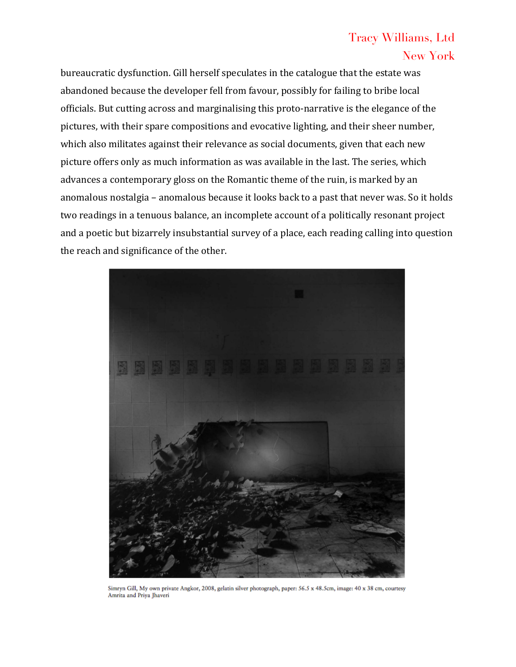bureaucratic dysfunction. Gill herself speculates in the catalogue that the estate was abandoned because the developer fell from favour, possibly for failing to bribe local officials. But cutting across and marginalising this proto-narrative is the elegance of the pictures, with their spare compositions and evocative lighting, and their sheer number, which also militates against their relevance as social documents, given that each new picture offers only as much information as was available in the last. The series, which advances a contemporary gloss on the Romantic theme of the ruin, is marked by an anomalous nostalgia – anomalous because it looks back to a past that never was. So it holds two readings in a tenuous balance, an incomplete account of a politically resonant project and a poetic but bizarrely insubstantial survey of a place, each reading calling into question the reach and significance of the other.



Simryn Gill, My own private Angkor, 2008, gelatin silver photograph, paper: 56.5 x 48.5cm, image: 40 x 38 cm, courtesy Amrita and Priya Jhaveri